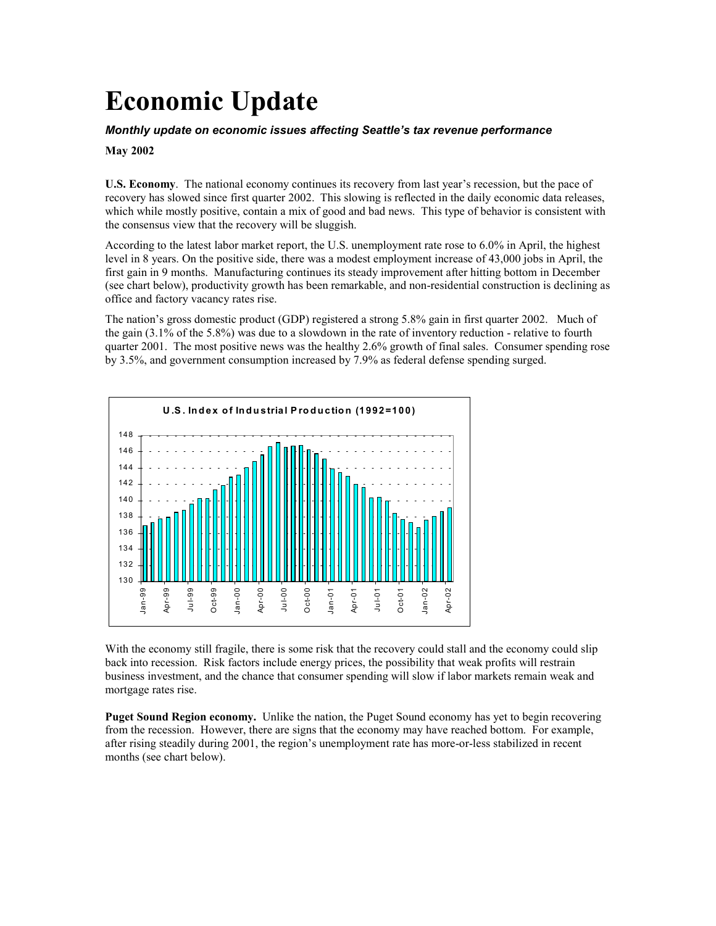# **Economic Update**

#### *Monthly update on economic issues affecting Seattle's tax revenue performance*

#### **May 2002**

**U.S. Economy**. The national economy continues its recovery from last year's recession, but the pace of recovery has slowed since first quarter 2002. This slowing is reflected in the daily economic data releases, which while mostly positive, contain a mix of good and bad news. This type of behavior is consistent with the consensus view that the recovery will be sluggish.

According to the latest labor market report, the U.S. unemployment rate rose to 6.0% in April, the highest level in 8 years. On the positive side, there was a modest employment increase of 43,000 jobs in April, the first gain in 9 months. Manufacturing continues its steady improvement after hitting bottom in December (see chart below), productivity growth has been remarkable, and non-residential construction is declining as office and factory vacancy rates rise.

The nation's gross domestic product (GDP) registered a strong 5.8% gain in first quarter 2002. Much of the gain (3.1% of the 5.8%) was due to a slowdown in the rate of inventory reduction - relative to fourth quarter 2001. The most positive news was the healthy 2.6% growth of final sales. Consumer spending rose by 3.5%, and government consumption increased by 7.9% as federal defense spending surged.



With the economy still fragile, there is some risk that the recovery could stall and the economy could slip back into recession. Risk factors include energy prices, the possibility that weak profits will restrain business investment, and the chance that consumer spending will slow if labor markets remain weak and mortgage rates rise.

**Puget Sound Region economy.** Unlike the nation, the Puget Sound economy has yet to begin recovering from the recession. However, there are signs that the economy may have reached bottom. For example, after rising steadily during 2001, the region's unemployment rate has more-or-less stabilized in recent months (see chart below).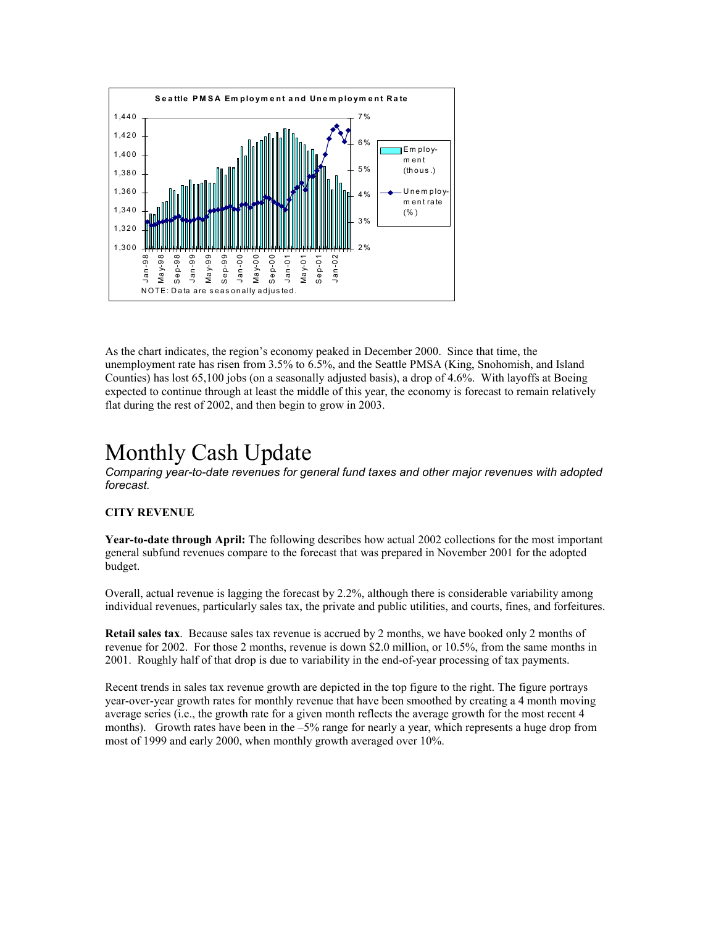

As the chart indicates, the region's economy peaked in December 2000. Since that time, the unemployment rate has risen from 3.5% to 6.5%, and the Seattle PMSA (King, Snohomish, and Island Counties) has lost 65,100 jobs (on a seasonally adjusted basis), a drop of 4.6%. With layoffs at Boeing expected to continue through at least the middle of this year, the economy is forecast to remain relatively flat during the rest of 2002, and then begin to grow in 2003.

### Monthly Cash Update

*Comparing year-to-date revenues for general fund taxes and other major revenues with adopted forecast.*

#### **CITY REVENUE**

**Year-to-date through April:** The following describes how actual 2002 collections for the most important general subfund revenues compare to the forecast that was prepared in November 2001 for the adopted budget.

Overall, actual revenue is lagging the forecast by 2.2%, although there is considerable variability among individual revenues, particularly sales tax, the private and public utilities, and courts, fines, and forfeitures.

**Retail sales tax**. Because sales tax revenue is accrued by 2 months, we have booked only 2 months of revenue for 2002. For those 2 months, revenue is down \$2.0 million, or 10.5%, from the same months in 2001. Roughly half of that drop is due to variability in the end-of-year processing of tax payments.

Recent trends in sales tax revenue growth are depicted in the top figure to the right. The figure portrays year-over-year growth rates for monthly revenue that have been smoothed by creating a 4 month moving average series (i.e., the growth rate for a given month reflects the average growth for the most recent 4 months). Growth rates have been in the –5% range for nearly a year, which represents a huge drop from most of 1999 and early 2000, when monthly growth averaged over 10%.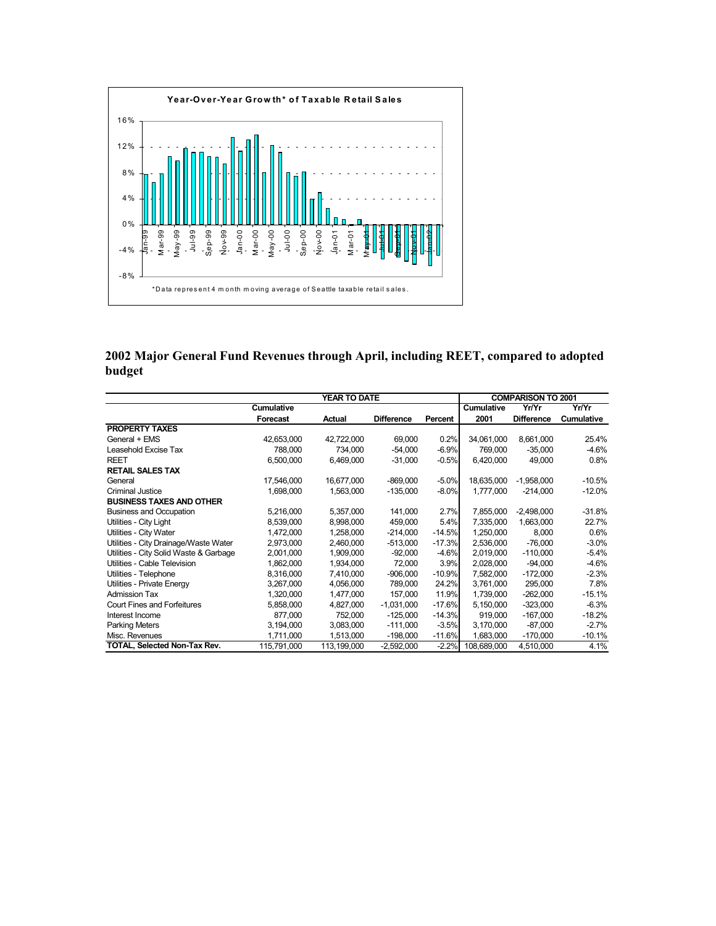

**2002 Major General Fund Revenues through April, including REET, compared to adopted budget**

|                                        | <b>YEAR TO DATE</b> |             |                   |          | <b>COMPARISON TO 2001</b> |                   |                   |
|----------------------------------------|---------------------|-------------|-------------------|----------|---------------------------|-------------------|-------------------|
|                                        | <b>Cumulative</b>   |             |                   |          | <b>Cumulative</b>         | Yr/Yr             | Yr/Yr             |
|                                        | <b>Forecast</b>     | Actual      | <b>Difference</b> | Percent  | 2001                      | <b>Difference</b> | <b>Cumulative</b> |
| <b>PROPERTY TAXES</b>                  |                     |             |                   |          |                           |                   |                   |
| General + EMS                          | 42,653,000          | 42,722,000  | 69,000            | 0.2%     | 34,061,000                | 8,661,000         | 25.4%             |
| Leasehold Excise Tax                   | 788,000             | 734,000     | $-54,000$         | $-6.9%$  | 769,000                   | $-35,000$         | -4.6%             |
| <b>REET</b>                            | 6,500,000           | 6,469,000   | $-31,000$         | $-0.5%$  | 6,420,000                 | 49,000            | 0.8%              |
| <b>RETAIL SALES TAX</b>                |                     |             |                   |          |                           |                   |                   |
| General                                | 17,546,000          | 16,677,000  | $-869,000$        | $-5.0%$  | 18,635,000                | $-1,958,000$      | $-10.5%$          |
| Criminal Justice                       | 1,698,000           | 1,563,000   | $-135,000$        | $-8.0%$  | 1,777,000                 | $-214,000$        | $-12.0%$          |
| <b>BUSINESS TAXES AND OTHER</b>        |                     |             |                   |          |                           |                   |                   |
| <b>Business and Occupation</b>         | 5,216,000           | 5,357,000   | 141,000           | 2.7%     | 7,855,000                 | $-2,498,000$      | $-31.8%$          |
| Utilities - City Light                 | 8,539,000           | 8,998,000   | 459,000           | 5.4%     | 7,335,000                 | 1,663,000         | 22.7%             |
| Utilities - City Water                 | 1,472,000           | 1,258,000   | $-214,000$        | $-14.5%$ | 1,250,000                 | 8,000             | 0.6%              |
| Utilities - City Drainage/Waste Water  | 2,973,000           | 2,460,000   | $-513,000$        | $-17.3%$ | 2,536,000                 | $-76,000$         | $-3.0\%$          |
| Utilities - City Solid Waste & Garbage | 2,001,000           | 1,909,000   | $-92,000$         | $-4.6%$  | 2,019,000                 | $-110,000$        | -5.4%             |
| Utilities - Cable Television           | 1,862,000           | 1,934,000   | 72,000            | 3.9%     | 2,028,000                 | $-94,000$         | -4.6%             |
| Utilities - Telephone                  | 8,316,000           | 7,410,000   | $-906,000$        | $-10.9%$ | 7,582,000                 | $-172,000$        | $-2.3%$           |
| Utilities - Private Energy             | 3,267,000           | 4,056,000   | 789,000           | 24.2%    | 3,761,000                 | 295,000           | 7.8%              |
| <b>Admission Tax</b>                   | 1,320,000           | 1.477.000   | 157.000           | 11.9%    | 1,739,000                 | $-262,000$        | $-15.1%$          |
| <b>Court Fines and Forfeitures</b>     | 5,858,000           | 4,827,000   | $-1,031,000$      | $-17.6%$ | 5,150,000                 | $-323,000$        | $-6.3%$           |
| Interest Income                        | 877,000             | 752,000     | $-125,000$        | $-14.3%$ | 919,000                   | $-167,000$        | $-18.2%$          |
| <b>Parking Meters</b>                  | 3,194,000           | 3,083,000   | $-111,000$        | $-3.5%$  | 3,170,000                 | $-87,000$         | $-2.7%$           |
| Misc. Revenues                         | 1,711,000           | 1,513,000   | $-198,000$        | $-11.6%$ | 1,683,000                 | $-170,000$        | $-10.1%$          |
| TOTAL, Selected Non-Tax Rev.           | 115,791,000         | 113,199,000 | $-2,592,000$      | $-2.2%$  | 108,689,000               | 4,510,000         | 4.1%              |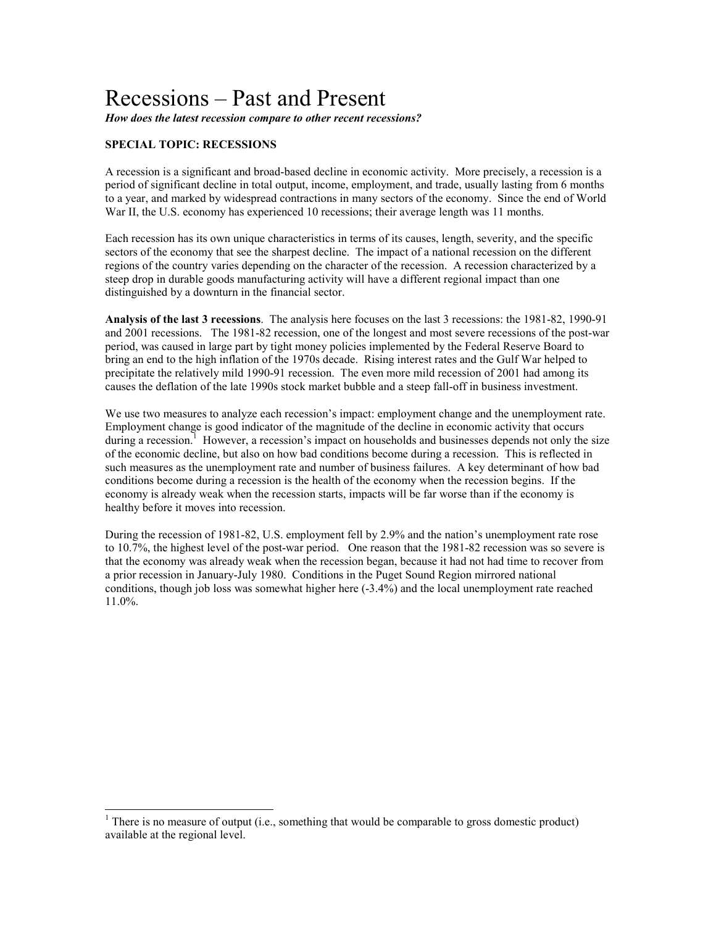## Recessions – Past and Present

*How does the latest recession compare to other recent recessions?*

#### **SPECIAL TOPIC: RECESSIONS**

 $\overline{a}$ 

A recession is a significant and broad-based decline in economic activity. More precisely, a recession is a period of significant decline in total output, income, employment, and trade, usually lasting from 6 months to a year, and marked by widespread contractions in many sectors of the economy. Since the end of World War II, the U.S. economy has experienced 10 recessions; their average length was 11 months.

Each recession has its own unique characteristics in terms of its causes, length, severity, and the specific sectors of the economy that see the sharpest decline. The impact of a national recession on the different regions of the country varies depending on the character of the recession. A recession characterized by a steep drop in durable goods manufacturing activity will have a different regional impact than one distinguished by a downturn in the financial sector.

**Analysis of the last 3 recessions**. The analysis here focuses on the last 3 recessions: the 1981-82, 1990-91 and 2001 recessions. The 1981-82 recession, one of the longest and most severe recessions of the post-war period, was caused in large part by tight money policies implemented by the Federal Reserve Board to bring an end to the high inflation of the 1970s decade. Rising interest rates and the Gulf War helped to precipitate the relatively mild 1990-91 recession. The even more mild recession of 2001 had among its causes the deflation of the late 1990s stock market bubble and a steep fall-off in business investment.

We use two measures to analyze each recession's impact: employment change and the unemployment rate. Employment change is good indicator of the magnitude of the decline in economic activity that occurs during a recession.<sup>1</sup> However, a recession's impact on households and businesses depends not only the size of the economic decline, but also on how bad conditions become during a recession. This is reflected in such measures as the unemployment rate and number of business failures. A key determinant of how bad conditions become during a recession is the health of the economy when the recession begins. If the economy is already weak when the recession starts, impacts will be far worse than if the economy is healthy before it moves into recession.

During the recession of 1981-82, U.S. employment fell by 2.9% and the nation's unemployment rate rose to 10.7%, the highest level of the post-war period. One reason that the 1981-82 recession was so severe is that the economy was already weak when the recession began, because it had not had time to recover from a prior recession in January-July 1980. Conditions in the Puget Sound Region mirrored national conditions, though job loss was somewhat higher here (-3.4%) and the local unemployment rate reached 11.0%.

<sup>&</sup>lt;sup>1</sup> There is no measure of output (i.e., something that would be comparable to gross domestic product) available at the regional level.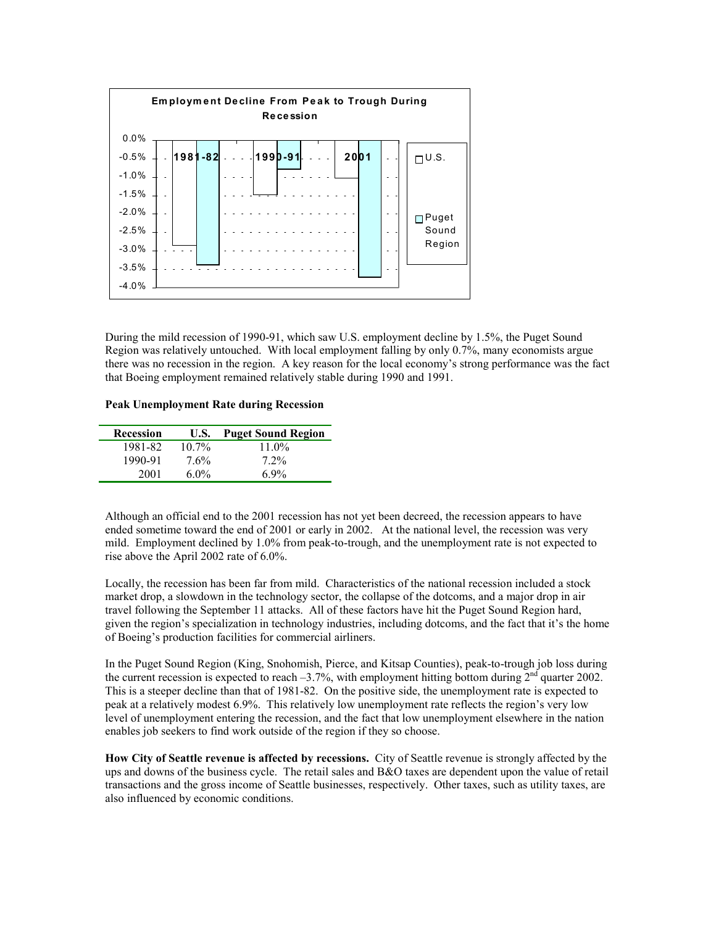

During the mild recession of 1990-91, which saw U.S. employment decline by 1.5%, the Puget Sound Region was relatively untouched. With local employment falling by only 0.7%, many economists argue there was no recession in the region. A key reason for the local economy's strong performance was the fact that Boeing employment remained relatively stable during 1990 and 1991.

#### **Peak Unemployment Rate during Recession**

| Recession | U.S.     | <b>Puget Sound Region</b> |
|-----------|----------|---------------------------|
| 1981-82   | $10.7\%$ | $11.0\%$                  |
| 1990-91   | 7.6%     | $7.2\%$                   |
| 2001      | $6.0\%$  | 69%                       |

Although an official end to the 2001 recession has not yet been decreed, the recession appears to have ended sometime toward the end of 2001 or early in 2002. At the national level, the recession was very mild. Employment declined by 1.0% from peak-to-trough, and the unemployment rate is not expected to rise above the April 2002 rate of 6.0%.

Locally, the recession has been far from mild. Characteristics of the national recession included a stock market drop, a slowdown in the technology sector, the collapse of the dotcoms, and a major drop in air travel following the September 11 attacks. All of these factors have hit the Puget Sound Region hard, given the region's specialization in technology industries, including dotcoms, and the fact that it's the home of Boeing's production facilities for commercial airliners.

In the Puget Sound Region (King, Snohomish, Pierce, and Kitsap Counties), peak-to-trough job loss during the current recession is expected to reach  $-3.7\%$ , with employment hitting bottom during  $2<sup>nd</sup>$  quarter 2002. This is a steeper decline than that of 1981-82. On the positive side, the unemployment rate is expected to peak at a relatively modest 6.9%. This relatively low unemployment rate reflects the region's very low level of unemployment entering the recession, and the fact that low unemployment elsewhere in the nation enables job seekers to find work outside of the region if they so choose.

**How City of Seattle revenue is affected by recessions.** City of Seattle revenue is strongly affected by the ups and downs of the business cycle. The retail sales and B&O taxes are dependent upon the value of retail transactions and the gross income of Seattle businesses, respectively. Other taxes, such as utility taxes, are also influenced by economic conditions.